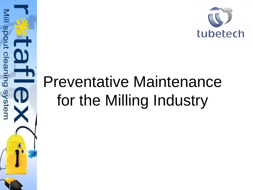

## Preventative Maintenance for the Milling Industry

Niill

spout cleaning

system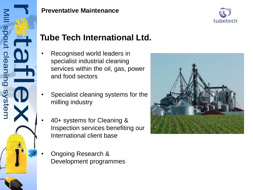



### **Tube Tech International Ltd.**

- Recognised world leaders in specialist industrial cleaning services within the oil, gas, power and food sectors
- Specialist cleaning systems for the milling industry
- 40+ systems for Cleaning & Inspection services benefiting our International client base
- Ongoing Research & Development programmes

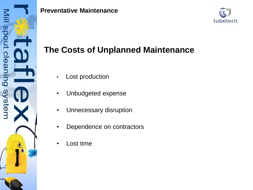



### **The Costs of Unplanned Maintenance**

- Lost production
- Unbudgeted expense
- Unnecessary disruption
- Dependence on contractors
- Lost time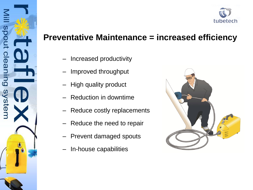

### **Preventative Maintenance = increased efficiency**

– Increased productivity

spout cleaning

ystem

- Improved throughput
- High quality product
- Reduction in downtime
- Reduce costly replacements
- Reduce the need to repair
- Prevent damaged spouts
- In-house capabilities

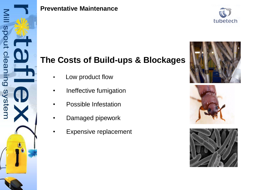



### **The Costs of Build-ups & Blockages**

- Low product flow
- Ineffective fumigation
- Possible Infestation
- Damaged pipework
- **Expensive replacement**





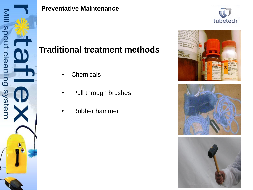



### **Traditional treatment methods**

- Chemicals
- Pull through brushes
- Rubber hammer



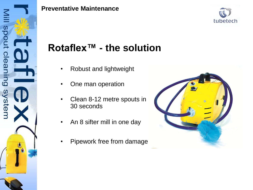



## **Rotaflex™ - the solution**

- Robust and lightweight
- One man operation
- Clean 8-12 metre spouts in 30 seconds
- An 8 sifter mill in one day
- Pipework free from damage

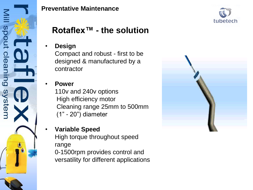



### **Rotaflex™ - the solution**

#### • **Design**

Compact and robust - first to be designed & manufactured by a contractor

### • **Power**

110v and 240v options High efficiency motor Cleaning range 25mm to 500mm (1" - 20") diameter

#### • **Variable Speed**

High torque throughout speed range

0-1500rpm provides control and versatility for different applications

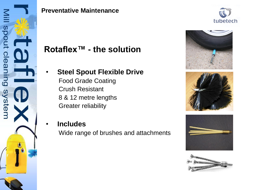









### **Rotaflex™ - the solution**

- **Steel Spout Flexible Drive** Food Grade Coating
	- Crush Resistant 8 & 12 metre lengths Greater reliability
- **Includes**

Wide range of brushes and attachments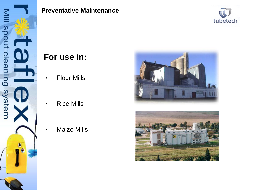



### **For use in:**

- **Flour Mills**
- **Rice Mills**
- **Maize Mills**



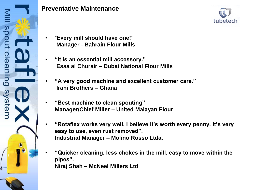



- "**Every mill should have one!" Manager - Bahrain Flour Mills**
- **"It is an essential mill accessory." Essa al Churair – Dubai National Flour Mills**
- **"A very good machine and excellent customer care." Irani Brothers – Ghana**
- **"Best machine to clean spouting" Manager/Chief Miller – United Malayan Flour**
- **"Rotaflex works very well, I believe it's worth every penny. It's very easy to use, even rust removed". Industrial Manager – Molino Rosso Ltda.**
- **"Quicker cleaning, less chokes in the mill, easy to move within the pipes". Niraj Shah – McNeel Millers Ltd**